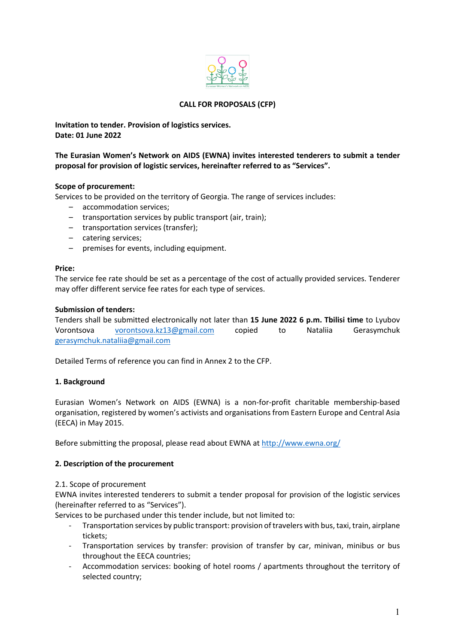

# **CALL FOR PROPOSALS (CFP)**

**Invitation to tender. Provision of logistics services. Date: 01 June 2022**

**The Eurasian Women's Network on AIDS (EWNA) invites interested tenderers to submit a tender proposal for provision of logistic services, hereinafter referred to as "Services".** 

### **Scope of procurement:**

Services to be provided on the territory of Georgia. The range of services includes:

- accommodation services;
- transportation services by public transport (air, train);
- transportation services (transfer);
- catering services;
- premises for events, including equipment.

#### **Price:**

The service fee rate should be set as a percentage of the cost of actually provided services. Tenderer may offer different service fee rates for each type of services.

### **Submission of tenders:**

Tenders shall be submitted electronically not later than **15 June 2022 6 p.m. Tbilisi time** to Lyubov Vorontsova vorontsova.kz13@gmail.com copied to Nataliia Gerasymchuk gerasymchuk.nataliia@gmail.com

Detailed Terms of reference you can find in Annex 2 to the CFP.

### **1. Background**

Eurasian Women's Network on AIDS (EWNA) is a non-for-profit charitable membership-based organisation, registered by women's activists and organisations from Eastern Europe and Central Asia (EECA) in May 2015.

Before submitting the proposal, please read about EWNA at http://www.ewna.org/

### **2. Description of the procurement**

### 2.1. Scope of procurement

EWNA invites interested tenderers to submit a tender proposal for provision of the logistic services (hereinafter referred to as "Services").

Services to be purchased under this tender include, but not limited to:

- Transportation services by public transport: provision of travelers with bus, taxi, train, airplane tickets;
- Transportation services by transfer: provision of transfer by car, minivan, minibus or bus throughout the EECA countries;
- Accommodation services: booking of hotel rooms / apartments throughout the territory of selected country;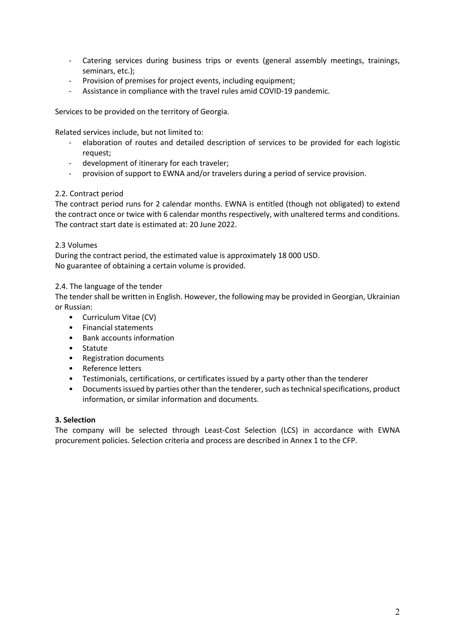- Catering services during business trips or events (general assembly meetings, trainings, seminars, etc.);
- Provision of premises for project events, including equipment;
- Assistance in compliance with the travel rules amid COVID-19 pandemic.

Services to be provided on the territory of Georgia.

Related services include, but not limited to:

- elaboration of routes and detailed description of services to be provided for each logistic request;
- development of itinerary for each traveler;
- provision of support to EWNA and/or travelers during a period of service provision.

## 2.2. Contract period

The contract period runs for 2 calendar months. EWNA is entitled (though not obligated) to extend the contract once or twice with 6 calendar months respectively, with unaltered terms and conditions. The contract start date is estimated at: 20 June 2022.

### 2.3 Volumes

During the contract period, the estimated value is approximately 18 000 USD. No guarantee of obtaining a certain volume is provided.

## 2.4. The language of the tender

The tender shall be written in English. However, the following may be provided in Georgian, Ukrainian or Russian:

- Curriculum Vitae (CV)
- Financial statements
- Bank accounts information
- Statute
- Registration documents
- Reference letters
- Testimonials, certifications, or certificates issued by a party other than the tenderer
- Documents issued by parties other than the tenderer, such as technical specifications, product information, or similar information and documents.

### **3. Selection**

The company will be selected through Least-Cost Selection (LCS) in accordance with EWNA procurement policies. Selection criteria and process are described in Annex 1 to the CFP.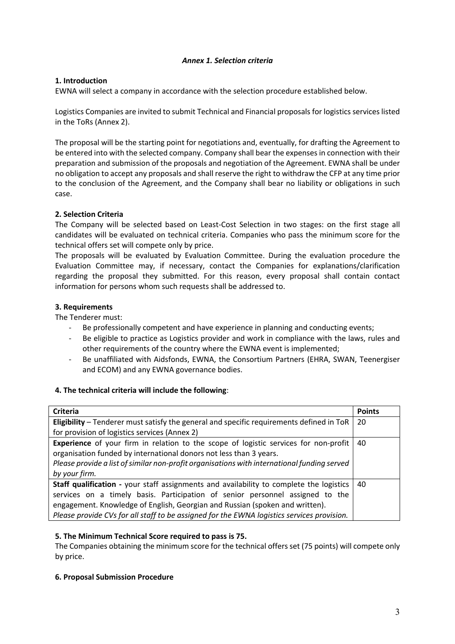# *Annex 1. Selection criteria*

## **1. Introduction**

EWNA will select a company in accordance with the selection procedure established below.

Logistics Companies are invited to submit Technical and Financial proposals for logistics services listed in the ToRs (Annex 2).

The proposal will be the starting point for negotiations and, eventually, for drafting the Agreement to be entered into with the selected company. Company shall bear the expenses in connection with their preparation and submission of the proposals and negotiation of the Agreement. EWNA shall be under no obligation to accept any proposals and shall reserve the right to withdraw the CFP at any time prior to the conclusion of the Agreement, and the Company shall bear no liability or obligations in such case.

## **2. Selection Criteria**

The Company will be selected based on Least-Cost Selection in two stages: on the first stage all candidates will be evaluated on technical criteria. Companies who pass the minimum score for the technical offers set will compete only by price.

The proposals will be evaluated by Evaluation Committee. During the evaluation procedure the Evaluation Committee may, if necessary, contact the Companies for explanations/clarification regarding the proposal they submitted. For this reason, every proposal shall contain contact information for persons whom such requests shall be addressed to.

## **3. Requirements**

The Tenderer must:

- Be professionally competent and have experience in planning and conducting events;
- Be eligible to practice as Logistics provider and work in compliance with the laws, rules and other requirements of the country where the EWNA event is implemented;
- Be unaffiliated with Aidsfonds, EWNA, the Consortium Partners (EHRA, SWAN, Teenergiser and ECOM) and any EWNA governance bodies.

### **4. The technical criteria will include the following**:

| <b>Criteria</b>                                                                             | <b>Points</b> |
|---------------------------------------------------------------------------------------------|---------------|
| Eligibility – Tenderer must satisfy the general and specific requirements defined in ToR    | 20            |
| for provision of logistics services (Annex 2)                                               |               |
| Experience of your firm in relation to the scope of logistic services for non-profit        | 40            |
| organisation funded by international donors not less than 3 years.                          |               |
| Please provide a list of similar non-profit organisations with international funding served |               |
| by your firm.                                                                               |               |
| Staff qualification - your staff assignments and availability to complete the logistics     | 40            |
| services on a timely basis. Participation of senior personnel assigned to the               |               |
| engagement. Knowledge of English, Georgian and Russian (spoken and written).                |               |
| Please provide CVs for all staff to be assigned for the EWNA logistics services provision.  |               |

### **5. The Minimum Technical Score required to pass is 75.**

The Companies obtaining the minimum score for the technical offers set (75 points) will compete only by price.

### **6. Proposal Submission Procedure**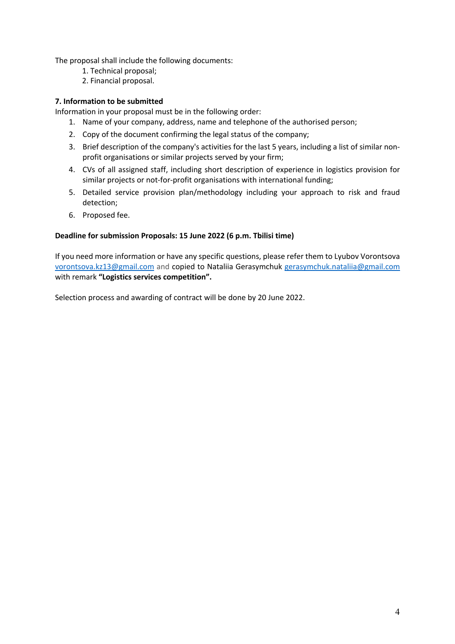The proposal shall include the following documents:

- 1. Technical proposal;
- 2. Financial proposal.

## **7. Information to be submitted**

Information in your proposal must be in the following order:

- 1. Name of your company, address, name and telephone of the authorised person;
- 2. Copy of the document confirming the legal status of the company;
- 3. Brief description of the company's activities for the last 5 years, including a list of similar nonprofit organisations or similar projects served by your firm;
- 4. CVs of all assigned staff, including short description of experience in logistics provision for similar projects or not-for-profit organisations with international funding;
- 5. Detailed service provision plan/methodology including your approach to risk and fraud detection;
- 6. Proposed fee.

## **Deadline for submission Proposals: 15 June 2022 (6 p.m. Tbilisi time)**

If you need more information or have any specific questions, please refer them to Lyubov Vorontsova vorontsova.kz13@gmail.com and copied to Nataliia Gerasymchuk gerasymchuk.nataliia@gmail.com with remark **"Logistics services competition".**

Selection process and awarding of contract will be done by 20 June 2022.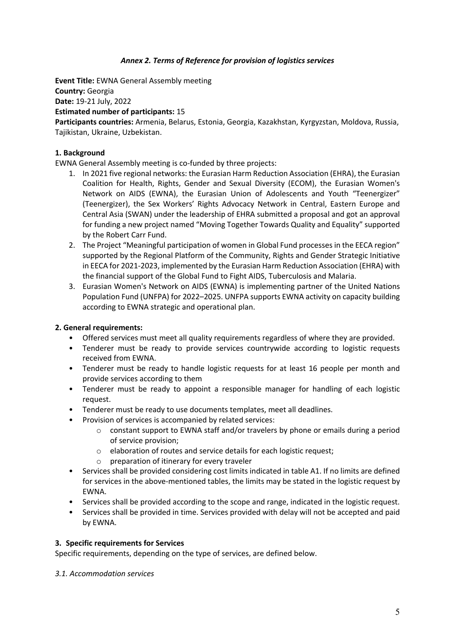# *Annex 2. Terms of Reference for provision of logistics services*

**Event Title:** EWNA General Assembly meeting **Country:** Georgia **Date:** 19-21 July, 2022 **Estimated number of participants:** 15

**Participants countries:** Armenia, Belarus, Estonia, Georgia, Kazakhstan, Kyrgyzstan, Moldova, Russia, Tajikistan, Ukraine, Uzbekistan.

## **1. Background**

EWNA General Assembly meeting is co-funded by three projects:

- 1. In 2021 five regional networks: the Eurasian Harm Reduction Association (EHRA), the Eurasian Coalition for Health, Rights, Gender and Sexual Diversity (ECOM), the Eurasian Women's Network on AIDS (EWNA), the Eurasian Union of Adolescents and Youth "Teenergizer" (Teenergizer), the Sex Workers' Rights Advocacy Network in Central, Eastern Europe and Central Asia (SWAN) under the leadership of EHRA submitted a proposal and got an approval for funding a new project named "Moving Together Towards Quality and Equality" supported by the Robert Carr Fund.
- 2. The Project "Meaningful participation of women in Global Fund processes in the EECA region" supported by the Regional Platform of the Community, Rights and Gender Strategic Initiative in EECA for 2021-2023, implemented by the Eurasian Harm Reduction Association (EHRA) with the financial support of the Global Fund to Fight AIDS, Tuberculosis and Malaria.
- 3. Eurasian Women's Network on AIDS (EWNA) is implementing partner of the United Nations Population Fund (UNFPA) for 2022–2025. UNFPA supports EWNA activity on capacity building according to EWNA strategic and operational plan.

### **2. General requirements:**

- Offered services must meet all quality requirements regardless of where they are provided.
- Tenderer must be ready to provide services countrywide according to logistic requests received from EWNA.
- Tenderer must be ready to handle logistic requests for at least 16 people per month and provide services according to them
- Tenderer must be ready to appoint a responsible manager for handling of each logistic request.
- Tenderer must be ready to use documents templates, meet all deadlines.
- Provision of services is accompanied by related services:
	- o constant support to EWNA staff and/or travelers by phone or emails during a period of service provision;
	- o elaboration of routes and service details for each logistic request;
	- o preparation of itinerary for every traveler
- Services shall be provided considering cost limits indicated in table A1. If no limits are defined for services in the above-mentioned tables, the limits may be stated in the logistic request by EWNA.
- Services shall be provided according to the scope and range, indicated in the logistic request.
- Services shall be provided in time. Services provided with delay will not be accepted and paid by EWNA.

### **3. Specific requirements for Services**

Specific requirements, depending on the type of services, are defined below.

### *3.1. Accommodation services*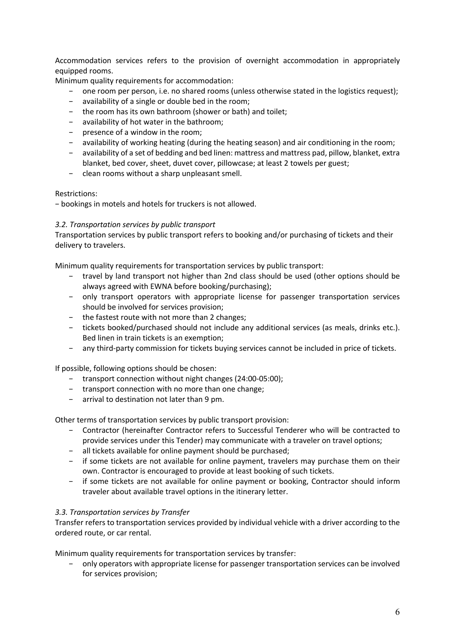Accommodation services refers to the provision of overnight accommodation in appropriately equipped rooms.

Minimum quality requirements for accommodation:

- one room per person, i.e. no shared rooms (unless otherwise stated in the logistics request);
- − availability of a single or double bed in the room;
- − the room has its own bathroom (shower or bath) and toilet;
- − availability of hot water in the bathroom;
- − presence of a window in the room;
- − availability of working heating (during the heating season) and air conditioning in the room;
- − availability of a set of bedding and bed linen: mattress and mattress pad, pillow, blanket, extra blanket, bed cover, sheet, duvet cover, pillowcase; at least 2 towels per guest;
- − clean rooms without a sharp unpleasant smell.

### Restrictions:

− bookings in motels and hotels for truckers is not allowed.

### *3.2. Transportation services by public transport*

Transportation services by public transport refers to booking and/or purchasing of tickets and their delivery to travelers.

Minimum quality requirements for transportation services by public transport:

- − travel by land transport not higher than 2nd class should be used (other options should be always agreed with EWNA before booking/purchasing);
- − only transport operators with appropriate license for passenger transportation services should be involved for services provision;
- − the fastest route with not more than 2 changes;
- − tickets booked/purchased should not include any additional services (as meals, drinks etc.). Bed linen in train tickets is an exemption;
- − any third-party commission for tickets buying services cannot be included in price of tickets.

If possible, following options should be chosen:

- − transport connection without night changes (24:00-05:00);
- − transport connection with no more than one change;
- − arrival to destination not later than 9 pm.

Other terms of transportation services by public transport provision:

- − Contractor (hereinafter Contractor refers to Successful Tenderer who will be contracted to provide services under this Tender) may communicate with a traveler on travel options;
- − all tickets available for online payment should be purchased;
- − if some tickets are not available for online payment, travelers may purchase them on their own. Contractor is encouraged to provide at least booking of such tickets.
- − if some tickets are not available for online payment or booking, Contractor should inform traveler about available travel options in the itinerary letter.

### *3.3. Transportation services by Transfer*

Transfer refers to transportation services provided by individual vehicle with a driver according to the ordered route, or car rental.

Minimum quality requirements for transportation services by transfer:

− only operators with appropriate license for passenger transportation services can be involved for services provision;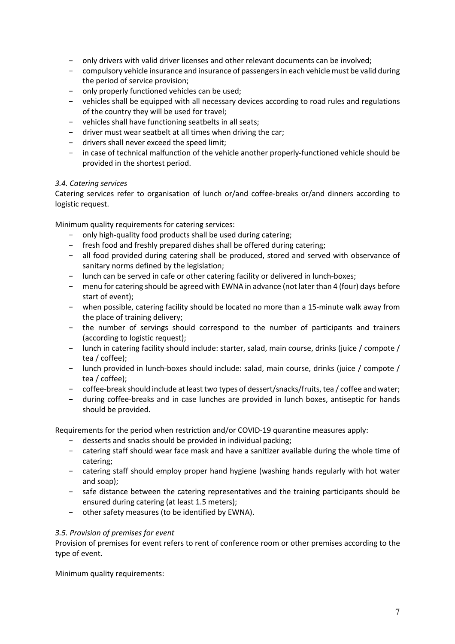- − only drivers with valid driver licenses and other relevant documents can be involved;
- − compulsory vehicle insurance and insurance of passengers in each vehicle must be valid during the period of service provision;
- − only properly functioned vehicles can be used;
- − vehicles shall be equipped with all necessary devices according to road rules and regulations of the country they will be used for travel;
- − vehicles shall have functioning seatbelts in all seats;
- − driver must wear seatbelt at all times when driving the car;
- − drivers shall never exceed the speed limit;
- − in case of technical malfunction of the vehicle another properly-functioned vehicle should be provided in the shortest period.

### *3.4. Catering services*

Catering services refer to organisation of lunch or/and coffee-breaks or/and dinners according to logistic request.

Minimum quality requirements for catering services:

- − only high-quality food products shall be used during catering;
- − fresh food and freshly prepared dishes shall be offered during catering;
- − all food provided during catering shall be produced, stored and served with observance of sanitary norms defined by the legislation;
- − lunch can be served in cafe or other catering facility or delivered in lunch-boxes;
- − menu for catering should be agreed with EWNA in advance (not later than 4 (four) days before start of event);
- − when possible, catering facility should be located no more than a 15-minute walk away from the place of training delivery;
- − the number of servings should correspond to the number of participants and trainers (according to logistic request);
- − lunch in catering facility should include: starter, salad, main course, drinks (juice / compote / tea / coffee);
- − lunch provided in lunch-boxes should include: salad, main course, drinks (juice / compote / tea / coffee);
- − coffee-break should include at least two types of dessert/snacks/fruits, tea / coffee and water;
- − during coffee-breaks and in case lunches are provided in lunch boxes, antiseptic for hands should be provided.

Requirements for the period when restriction and/or COVID-19 quarantine measures apply:

- − desserts and snacks should be provided in individual packing;
- − catering staff should wear face mask and have a sanitizer available during the whole time of catering;
- − catering staff should employ proper hand hygiene (washing hands regularly with hot water and soap);
- − safe distance between the catering representatives and the training participants should be ensured during catering (at least 1.5 meters);
- − other safety measures (to be identified by EWNA).

### *3.5. Provision of premises for event*

Provision of premises for event refers to rent of conference room or other premises according to the type of event.

Minimum quality requirements: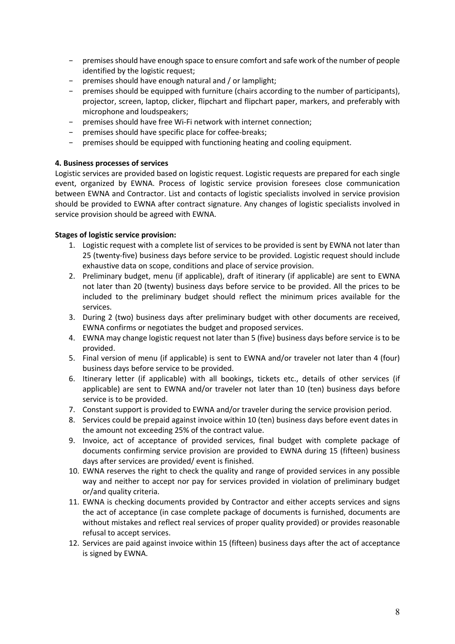- − premises should have enough space to ensure comfort and safe work of the number of people identified by the logistic request;
- − premises should have enough natural and / or lamplight;
- − premises should be equipped with furniture (chairs according to the number of participants), projector, screen, laptop, clicker, flipchart and flipchart paper, markers, and preferably with microphone and loudspeakers;
- − premises should have free Wi-Fi network with internet connection;
- premises should have specific place for coffee-breaks;
- − premises should be equipped with functioning heating and cooling equipment.

## **4. Business processes of services**

Logistic services are provided based on logistic request. Logistic requests are prepared for each single event, organized by EWNA. Process of logistic service provision foresees close communication between EWNA and Contractor. List and contacts of logistic specialists involved in service provision should be provided to EWNA after contract signature. Any changes of logistic specialists involved in service provision should be agreed with EWNA.

## **Stages of logistic service provision:**

- 1. Logistic request with a complete list of services to be provided is sent by EWNA not later than 25 (twenty-five) business days before service to be provided. Logistic request should include exhaustive data on scope, conditions and place of service provision.
- 2. Preliminary budget, menu (if applicable), draft of itinerary (if applicable) are sent to EWNA not later than 20 (twenty) business days before service to be provided. All the prices to be included to the preliminary budget should reflect the minimum prices available for the services.
- 3. During 2 (two) business days after preliminary budget with other documents are received, EWNA confirms or negotiates the budget and proposed services.
- 4. EWNA may change logistic request not later than 5 (five) business days before service is to be provided.
- 5. Final version of menu (if applicable) is sent to EWNA and/or traveler not later than 4 (four) business days before service to be provided.
- 6. Itinerary letter (if applicable) with all bookings, tickets etc., details of other services (if applicable) are sent to EWNA and/or traveler not later than 10 (ten) business days before service is to be provided.
- 7. Constant support is provided to EWNA and/or traveler during the service provision period.
- 8. Services could be prepaid against invoice within 10 (ten) business days before event dates in the amount not exceeding 25% of the contract value.
- 9. Invoice, act of acceptance of provided services, final budget with complete package of documents confirming service provision are provided to EWNA during 15 (fifteen) business days after services are provided/ event is finished.
- 10. EWNA reserves the right to check the quality and range of provided services in any possible way and neither to accept nor pay for services provided in violation of preliminary budget or/and quality criteria.
- 11. EWNA is checking documents provided by Contractor and either accepts services and signs the act of acceptance (in case complete package of documents is furnished, documents are without mistakes and reflect real services of proper quality provided) or provides reasonable refusal to accept services.
- 12. Services are paid against invoice within 15 (fifteen) business days after the act of acceptance is signed by EWNA.